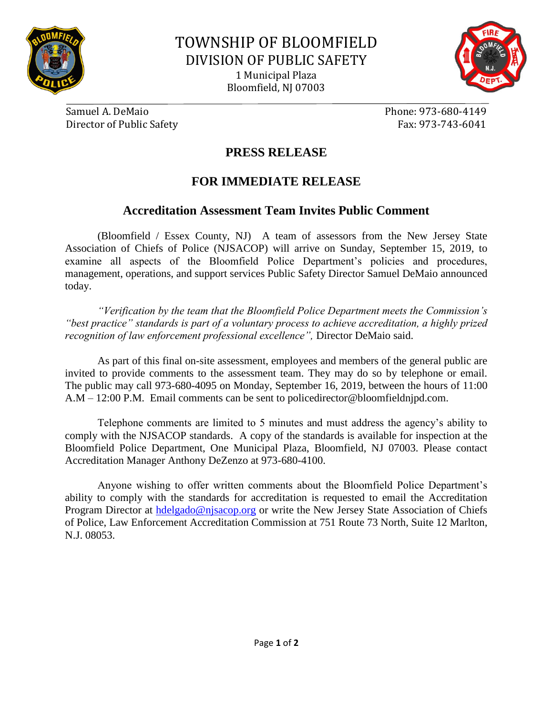



Samuel A. DeMaio Phone: 973-680-4149 Director of Public Safety Fax: 973-743-6041

## **PRESS RELEASE**

## **FOR IMMEDIATE RELEASE**

## **Accreditation Assessment Team Invites Public Comment**

(Bloomfield / Essex County, NJ) A team of assessors from the New Jersey State Association of Chiefs of Police (NJSACOP) will arrive on Sunday, September 15, 2019, to examine all aspects of the Bloomfield Police Department's policies and procedures, management, operations, and support services Public Safety Director Samuel DeMaio announced today.

*"Verification by the team that the Bloomfield Police Department meets the Commission's "best practice" standards is part of a voluntary process to achieve accreditation, a highly prized recognition of law enforcement professional excellence",* Director DeMaio said.

As part of this final on-site assessment, employees and members of the general public are invited to provide comments to the assessment team. They may do so by telephone or email. The public may call 973-680-4095 on Monday, September 16, 2019, between the hours of 11:00 A.M – 12:00 P.M. Email comments can be sent to policedirector@bloomfieldnjpd.com.

Telephone comments are limited to 5 minutes and must address the agency's ability to comply with the NJSACOP standards. A copy of the standards is available for inspection at the Bloomfield Police Department, One Municipal Plaza, Bloomfield, NJ 07003. Please contact Accreditation Manager Anthony DeZenzo at 973-680-4100.

Anyone wishing to offer written comments about the Bloomfield Police Department's ability to comply with the standards for accreditation is requested to email the Accreditation Program Director at [hdelgado@njsacop.org](mailto:hdelgado@njsacop.org) or write the New Jersey State Association of Chiefs of Police, Law Enforcement Accreditation Commission at 751 Route 73 North, Suite 12 Marlton, N.J. 08053.